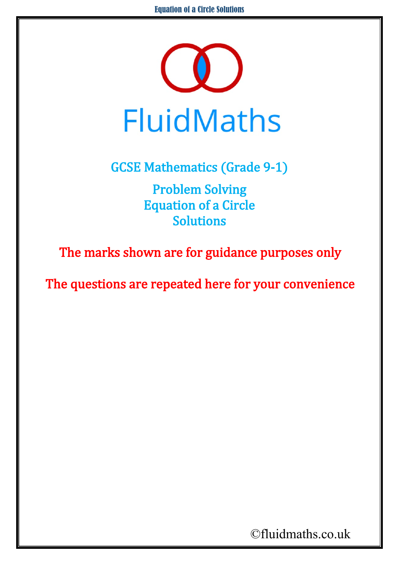

GCSE Mathematics (Grade 9-1)

Problem Solving Equation of a Circle Solutions

The marks shown are for guidance purposes only

The questions are repeated here for your convenience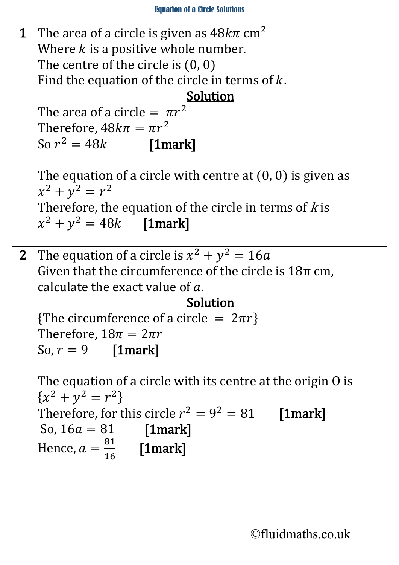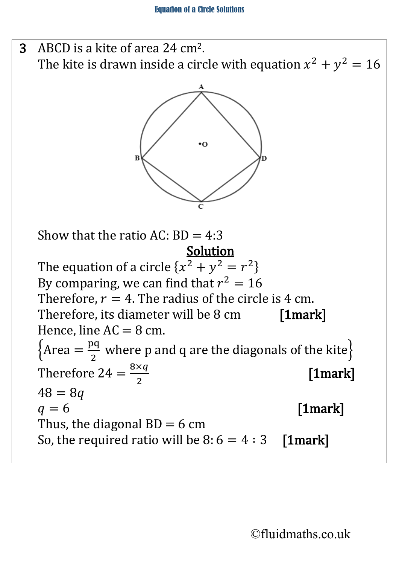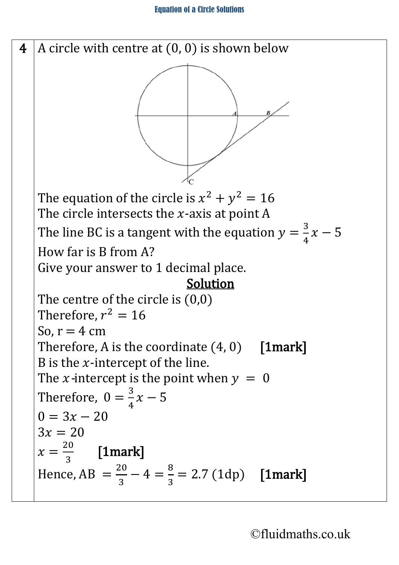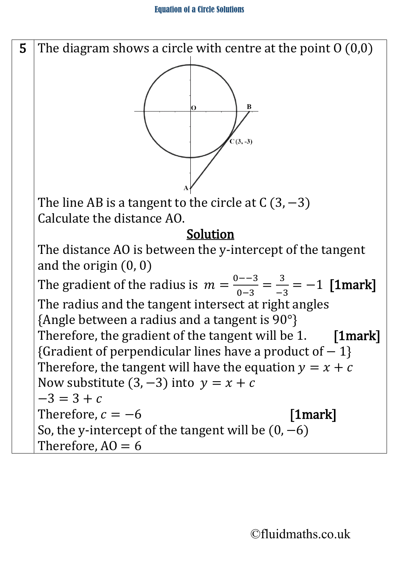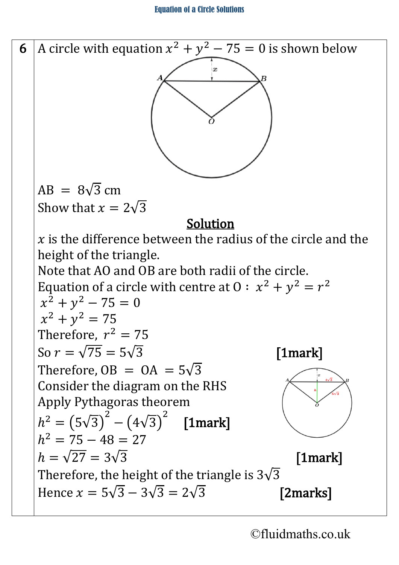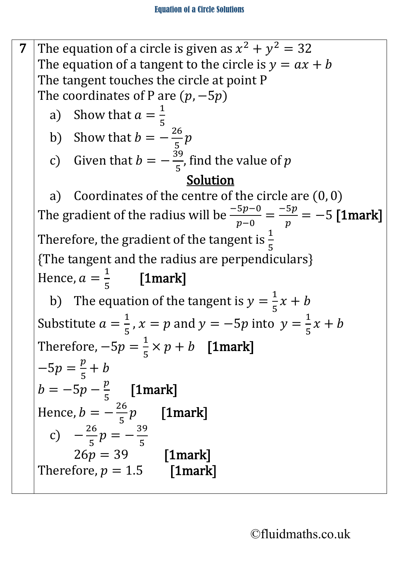7 The equation of a circle is given as  $x^2 + y^2 = 32$ The equation of a tangent to the circle is  $y = ax + b$ The tangent touches the circle at point P The coordinates of P are  $(p, -5p)$ a) Show that  $a =$  $\overline{\mathsf{I}}$ 5 b) Show that  $b = -\frac{26}{5}p$ c) Given that  $b = -\frac{39}{5}$ , find the value of p Solution a) Coordinates of the centre of the circle are (0, 0) The gradient of the radius will be  $\frac{-5p-0}{p-0} = \frac{-5p}{p} = -5$  [1mark] Therefore, the gradient of the tangent is  $\frac{1}{5}$ {The tangent and the radius are perpendiculars} Hence,  $a =$  $\overline{1}$ 5 [1mark] b) The equation of the tangent is  $y =$  $\overline{\mathsf{I}}$  $\frac{-x + b}{1}$ Substitute  $a =$  $\overline{1}$  $\frac{1}{5}$ ,  $x = p$  and  $y = -5p$  into  $y =$  $\overline{1}$  $\frac{-x + b}{5}$ Therefore,  $-5p =$  $\overline{\mathsf{I}}$  $\frac{1}{5} \times p + b$  [1mark]  $-5p =$  $\underline{p}$  $rac{1}{5} + b$  $b = -5p - \frac{p}{5}$  [1mark] Hence,  $b = -\frac{26}{5}p$  [1mark] c)  $-\frac{26}{5}p = -\frac{39}{5}$  $26p = 39$  [1mark] Therefore,  $p = 1.5$  [1mark]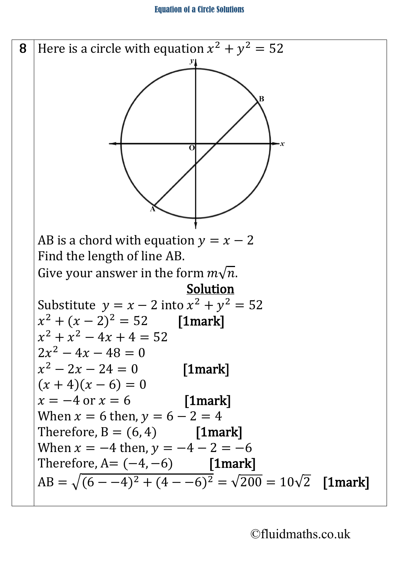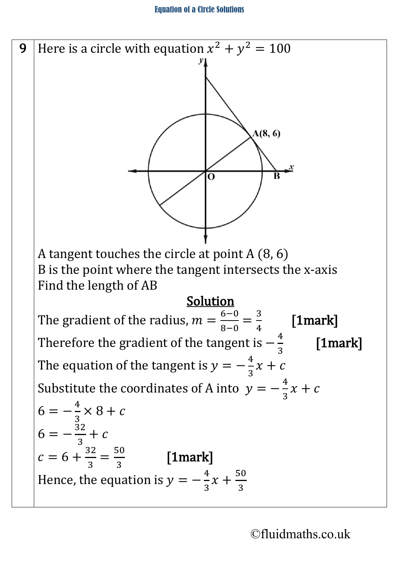